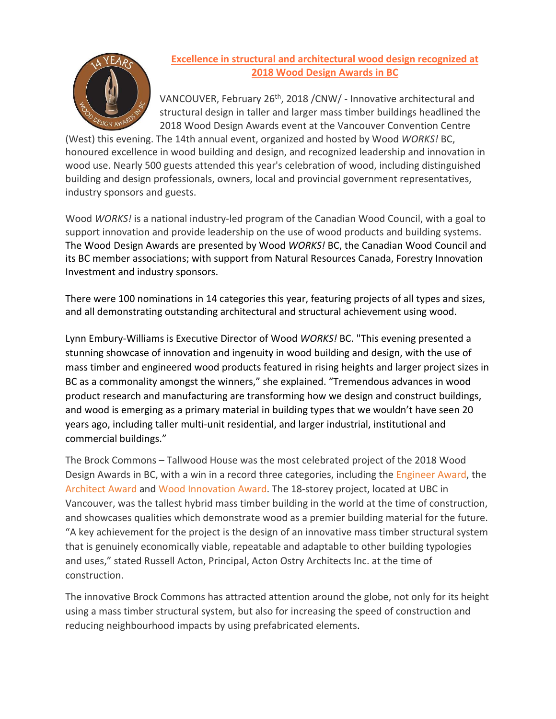

## **Excellence in structural and architectural wood design recognized at 2018 Wood Design Awards in BC**

VANCOUVER, February 26<sup>th</sup>, 2018 /CNW/ - Innovative architectural and structural design in taller and larger mass timber buildings headlined the 2018 Wood Design Awards event at the Vancouver Convention Centre

(West) this evening. The 14th annual event, organized and hosted by Wood *WORKS!* BC, honoured excellence in wood building and design, and recognized leadership and innovation in wood use. Nearly 500 guests attended this year's celebration of wood, including distinguished building and design professionals, owners, local and provincial government representatives, industry sponsors and guests.

Wood *WORKS!* is a national industry-led program of the Canadian Wood Council, with a goal to support innovation and provide leadership on the use of wood products and building systems. The Wood Design Awards are presented by Wood *WORKS!* BC, the Canadian Wood Council and its BC member associations; with support from Natural Resources Canada, Forestry Innovation Investment and industry sponsors.

There were 100 nominations in 14 categories this year, featuring projects of all types and sizes, and all demonstrating outstanding architectural and structural achievement using wood.

Lynn Embury‐Williams is Executive Director of Wood *WORKS!* BC. "This evening presented a stunning showcase of innovation and ingenuity in wood building and design, with the use of mass timber and engineered wood products featured in rising heights and larger project sizes in BC as a commonality amongst the winners," she explained. "Tremendous advances in wood product research and manufacturing are transforming how we design and construct buildings, and wood is emerging as a primary material in building types that we wouldn't have seen 20 years ago, including taller multi‐unit residential, and larger industrial, institutional and commercial buildings."

The Brock Commons – Tallwood House was the most celebrated project of the 2018 Wood Design Awards in BC, with a win in a record three categories, including the Engineer Award, the Architect Award and Wood Innovation Award. The 18‐storey project, located at UBC in Vancouver, was the tallest hybrid mass timber building in the world at the time of construction, and showcases qualities which demonstrate wood as a premier building material for the future. "A key achievement for the project is the design of an innovative mass timber structural system that is genuinely economically viable, repeatable and adaptable to other building typologies and uses," stated Russell Acton, Principal, Acton Ostry Architects Inc. at the time of construction.

The innovative Brock Commons has attracted attention around the globe, not only for its height using a mass timber structural system, but also for increasing the speed of construction and reducing neighbourhood impacts by using prefabricated elements.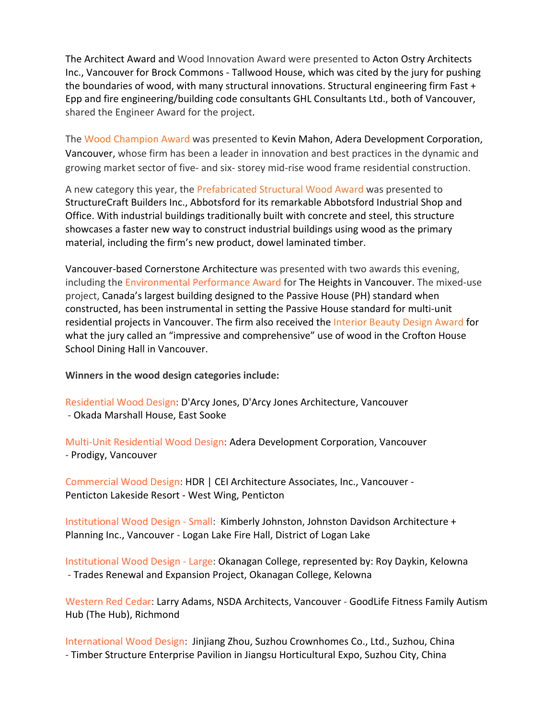The Architect Award and Wood Innovation Award were presented to Acton Ostry Architects Inc., Vancouver for Brock Commons ‐ Tallwood House, which was cited by the jury for pushing the boundaries of wood, with many structural innovations. Structural engineering firm Fast + Epp and fire engineering/building code consultants GHL Consultants Ltd., both of Vancouver, shared the Engineer Award for the project.

The Wood Champion Award was presented to Kevin Mahon, Adera Development Corporation, Vancouver, whose firm has been a leader in innovation and best practices in the dynamic and growing market sector of five‐ and six‐ storey mid‐rise wood frame residential construction.

A new category this year, the Prefabricated Structural Wood Award was presented to StructureCraft Builders Inc., Abbotsford for its remarkable Abbotsford Industrial Shop and Office. With industrial buildings traditionally built with concrete and steel, this structure showcases a faster new way to construct industrial buildings using wood as the primary material, including the firm's new product, dowel laminated timber.

Vancouver‐based Cornerstone Architecture was presented with two awards this evening, including the Environmental Performance Award for The Heights in Vancouver. The mixed‐use project, Canada's largest building designed to the Passive House (PH) standard when constructed, has been instrumental in setting the Passive House standard for multi‐unit residential projects in Vancouver. The firm also received the Interior Beauty Design Award for what the jury called an "impressive and comprehensive" use of wood in the Crofton House School Dining Hall in Vancouver.

**Winners in the wood design categories include:** 

Residential Wood Design: D'Arcy Jones, D'Arcy Jones Architecture, Vancouver ‐ Okada Marshall House, East Sooke

Multi‐Unit Residential Wood Design: Adera Development Corporation, Vancouver ‐ Prodigy, Vancouver

Commercial Wood Design: HDR | CEI Architecture Associates, Inc., Vancouver ‐ Penticton Lakeside Resort ‐ West Wing, Penticton

Institutional Wood Design ‐ Small: Kimberly Johnston, Johnston Davidson Architecture + Planning Inc., Vancouver ‐ Logan Lake Fire Hall, District of Logan Lake

Institutional Wood Design ‐ Large: Okanagan College, represented by: Roy Daykin, Kelowna ‐ Trades Renewal and Expansion Project, Okanagan College, Kelowna

Western Red Cedar: Larry Adams, NSDA Architects, Vancouver ‐ GoodLife Fitness Family Autism Hub (The Hub), Richmond

International Wood Design: Jinjiang Zhou, Suzhou Crownhomes Co., Ltd., Suzhou, China ‐ Timber Structure Enterprise Pavilion in Jiangsu Horticultural Expo, Suzhou City, China